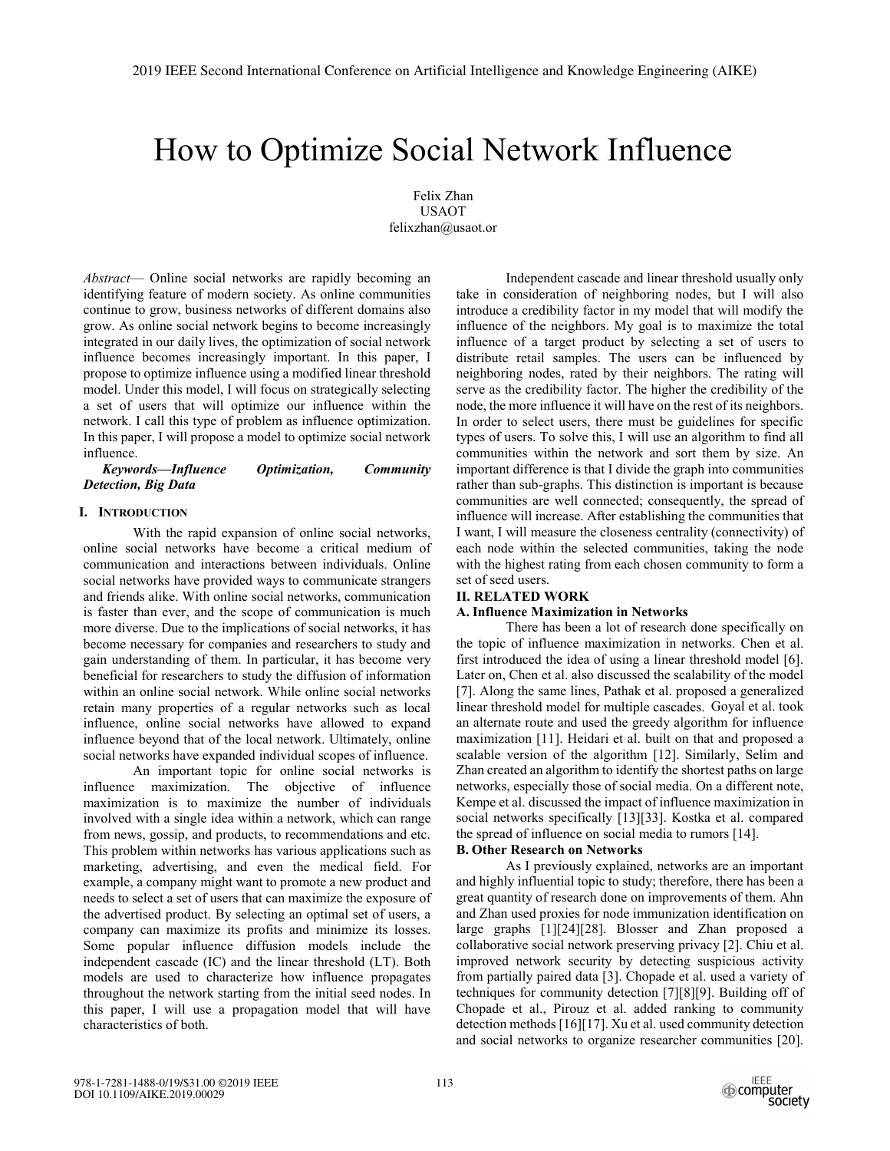# How to Optimize Social Network Influence

Felix Zhan USAOT felixzhan@usaot.or

*Abstract*— Online social networks are rapidly becoming an identifying feature of modern society. As online communities continue to grow, business networks of different domains also grow. As online social network begins to become increasingly integrated in our daily lives, the optimization of social network influence becomes increasingly important. In this paper, I propose to optimize influence using a modified linear threshold model. Under this model, I will focus on strategically selecting a set of users that will optimize our influence within the network. I call this type of problem as influence optimization. In this paper, I will propose a model to optimize social network influence.

### *Keywords—Influence Optimization, Community Detection, Big Data*

## **I. INTRODUCTION**

With the rapid expansion of online social networks, online social networks have become a critical medium of communication and interactions between individuals. Online social networks have provided ways to communicate strangers and friends alike. With online social networks, communication is faster than ever, and the scope of communication is much more diverse. Due to the implications of social networks, it has become necessary for companies and researchers to study and gain understanding of them. In particular, it has become very beneficial for researchers to study the diffusion of information within an online social network. While online social networks retain many properties of a regular networks such as local influence, online social networks have allowed to expand influence beyond that of the local network. Ultimately, online social networks have expanded individual scopes of influence.

An important topic for online social networks is influence maximization. The objective of influence maximization is to maximize the number of individuals involved with a single idea within a network, which can range from news, gossip, and products, to recommendations and etc. This problem within networks has various applications such as marketing, advertising, and even the medical field. For example, a company might want to promote a new product and needs to select a set of users that can maximize the exposure of the advertised product. By selecting an optimal set of users, a company can maximize its profits and minimize its losses. Some popular influence diffusion models include the independent cascade (IC) and the linear threshold (LT). Both models are used to characterize how influence propagates throughout the network starting from the initial seed nodes. In this paper, I will use a propagation model that will have characteristics of both.

Independent cascade and linear threshold usually only take in consideration of neighboring nodes, but I will also introduce a credibility factor in my model that will modify the influence of the neighbors. My goal is to maximize the total influence of a target product by selecting a set of users to distribute retail samples. The users can be influenced by neighboring nodes, rated by their neighbors. The rating will serve as the credibility factor. The higher the credibility of the node, the more influence it will have on the rest of its neighbors. In order to select users, there must be guidelines for specific types of users. To solve this, I will use an algorithm to find all communities within the network and sort them by size. An important difference is that I divide the graph into communities rather than sub-graphs. This distinction is important is because communities are well connected; consequently, the spread of influence will increase. After establishing the communities that I want, I will measure the closeness centrality (connectivity) of each node within the selected communities, taking the node with the highest rating from each chosen community to form a set of seed users.

#### **II. RELATED WORK**

#### **A. Influence Maximization in Networks**

There has been a lot of research done specifically on the topic of influence maximization in networks. Chen et al. first introduced the idea of using a linear threshold model [6]. Later on, Chen et al. also discussed the scalability of the model [7]. Along the same lines, Pathak et al. proposed a generalized linear threshold model for multiple cascades. Goyal et al. took an alternate route and used the greedy algorithm for influence maximization [11]. Heidari et al. built on that and proposed a scalable version of the algorithm [12]. Similarly, Selim and Zhan created an algorithm to identify the shortest paths on large networks, especially those of social media. On a different note, Kempe et al. discussed the impact of influence maximization in social networks specifically [13][33]. Kostka et al. compared the spread of influence on social media to rumors [14].

## **B. Other Research on Networks**

As I previously explained, networks are an important and highly influential topic to study; therefore, there has been a great quantity of research done on improvements of them. Ahn and Zhan used proxies for node immunization identification on large graphs [1][24][28]. Blosser and Zhan proposed a collaborative social network preserving privacy [2]. Chiu et al. improved network security by detecting suspicious activity from partially paired data [3]. Chopade et al. used a variety of techniques for community detection [7][8][9]. Building off of Chopade et al., Pirouz et al. added ranking to community detection methods [16][17]. Xu et al. used community detection and social networks to organize researcher communities [20].

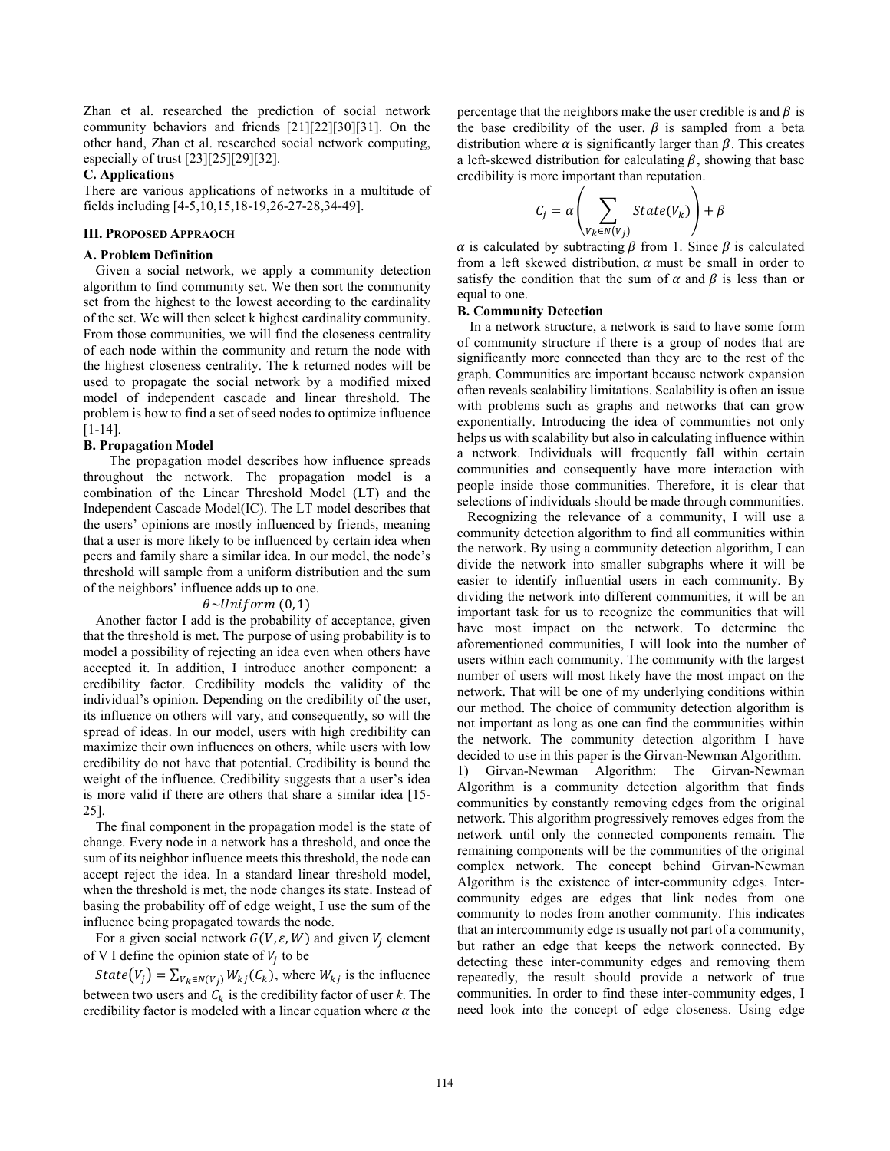Zhan et al. researched the prediction of social network community behaviors and friends [21][22][30][31]. On the other hand, Zhan et al. researched social network computing, especially of trust [23][25][29][32].

### **C. Applications**

There are various applications of networks in a multitude of fields including [4-5,10,15,18-19,26-27-28,34-49].

## **III. PROPOSED APPRAOCH**

#### **A. Problem Definition**

Given a social network, we apply a community detection algorithm to find community set. We then sort the community set from the highest to the lowest according to the cardinality of the set. We will then select k highest cardinality community. From those communities, we will find the closeness centrality of each node within the community and return the node with the highest closeness centrality. The k returned nodes will be used to propagate the social network by a modified mixed model of independent cascade and linear threshold. The problem is how to find a set of seed nodes to optimize influence [1-14].

# **B. Propagation Model**

The propagation model describes how influence spreads throughout the network. The propagation model is a combination of the Linear Threshold Model (LT) and the Independent Cascade Model(IC). The LT model describes that the users' opinions are mostly influenced by friends, meaning that a user is more likely to be influenced by certain idea when peers and family share a similar idea. In our model, the node's threshold will sample from a uniform distribution and the sum of the neighbors' influence adds up to one.

# $\theta$ ~Uniform (0,1)

Another factor I add is the probability of acceptance, given that the threshold is met. The purpose of using probability is to model a possibility of rejecting an idea even when others have accepted it. In addition, I introduce another component: a credibility factor. Credibility models the validity of the individual's opinion. Depending on the credibility of the user, its influence on others will vary, and consequently, so will the spread of ideas. In our model, users with high credibility can maximize their own influences on others, while users with low credibility do not have that potential. Credibility is bound the weight of the influence. Credibility suggests that a user's idea is more valid if there are others that share a similar idea [15- 25].

The final component in the propagation model is the state of change. Every node in a network has a threshold, and once the sum of its neighbor influence meets this threshold, the node can accept reject the idea. In a standard linear threshold model, when the threshold is met, the node changes its state. Instead of basing the probability off of edge weight, I use the sum of the influence being propagated towards the node.

For a given social network  $G(V, \varepsilon, W)$  and given  $V_i$  element of V I define the opinion state of  $V_i$  to be

 $State(V_j) = \sum_{V_k \in N(V_j)} W_{kj}(C_k)$ , where  $W_{kj}$  is the influence between two users and  $C_k$  is the credibility factor of user  $k$ . The credibility factor is modeled with a linear equation where  $\alpha$  the percentage that the neighbors make the user credible is and  $\beta$  is the base credibility of the user.  $\beta$  is sampled from a beta distribution where  $\alpha$  is significantly larger than  $\beta$ . This creates a left-skewed distribution for calculating  $\beta$ , showing that base credibility is more important than reputation.

$$
C_j = \alpha \left( \sum_{V_k \in N(V_j)} State(V_k) \right) + \beta
$$

 $\alpha$  is calculated by subtracting  $\beta$  from 1. Since  $\beta$  is calculated from a left skewed distribution,  $\alpha$  must be small in order to satisfy the condition that the sum of  $\alpha$  and  $\beta$  is less than or equal to one.

# **B. Community Detection**

In a network structure, a network is said to have some form of community structure if there is a group of nodes that are significantly more connected than they are to the rest of the graph. Communities are important because network expansion often reveals scalability limitations. Scalability is often an issue with problems such as graphs and networks that can grow exponentially. Introducing the idea of communities not only helps us with scalability but also in calculating influence within a network. Individuals will frequently fall within certain communities and consequently have more interaction with people inside those communities. Therefore, it is clear that selections of individuals should be made through communities.

 Recognizing the relevance of a community, I will use a community detection algorithm to find all communities within the network. By using a community detection algorithm, I can divide the network into smaller subgraphs where it will be easier to identify influential users in each community. By dividing the network into different communities, it will be an important task for us to recognize the communities that will have most impact on the network. To determine the aforementioned communities, I will look into the number of users within each community. The community with the largest number of users will most likely have the most impact on the network. That will be one of my underlying conditions within our method. The choice of community detection algorithm is not important as long as one can find the communities within the network. The community detection algorithm I have decided to use in this paper is the Girvan-Newman Algorithm. 1) Girvan-Newman Algorithm: The Girvan-Newman

Algorithm is a community detection algorithm that finds communities by constantly removing edges from the original network. This algorithm progressively removes edges from the network until only the connected components remain. The remaining components will be the communities of the original complex network. The concept behind Girvan-Newman Algorithm is the existence of inter-community edges. Intercommunity edges are edges that link nodes from one community to nodes from another community. This indicates that an intercommunity edge is usually not part of a community, but rather an edge that keeps the network connected. By detecting these inter-community edges and removing them repeatedly, the result should provide a network of true communities. In order to find these inter-community edges, I need look into the concept of edge closeness. Using edge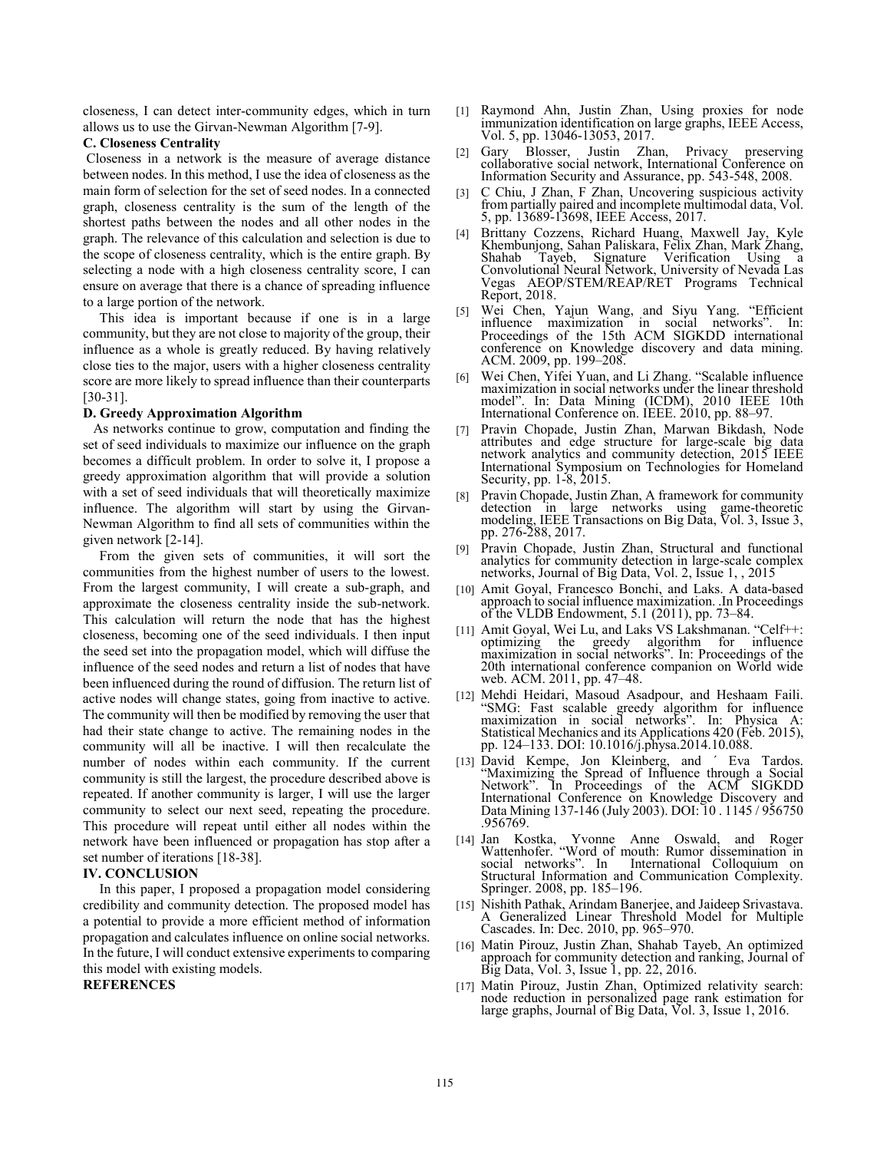closeness, I can detect inter-community edges, which in turn allows us to use the Girvan-Newman Algorithm [7-9].

## **C. Closeness Centrality**

 Closeness in a network is the measure of average distance between nodes. In this method, I use the idea of closeness as the main form of selection for the set of seed nodes. In a connected graph, closeness centrality is the sum of the length of the shortest paths between the nodes and all other nodes in the graph. The relevance of this calculation and selection is due to the scope of closeness centrality, which is the entire graph. By selecting a node with a high closeness centrality score, I can ensure on average that there is a chance of spreading influence to a large portion of the network.

This idea is important because if one is in a large community, but they are not close to majority of the group, their influence as a whole is greatly reduced. By having relatively close ties to the major, users with a higher closeness centrality score are more likely to spread influence than their counterparts [30-31].

#### **D. Greedy Approximation Algorithm**

 As networks continue to grow, computation and finding the set of seed individuals to maximize our influence on the graph becomes a difficult problem. In order to solve it, I propose a greedy approximation algorithm that will provide a solution with a set of seed individuals that will theoretically maximize influence. The algorithm will start by using the Girvan-Newman Algorithm to find all sets of communities within the given network [2-14].

From the given sets of communities, it will sort the communities from the highest number of users to the lowest. From the largest community, I will create a sub-graph, and approximate the closeness centrality inside the sub-network. This calculation will return the node that has the highest closeness, becoming one of the seed individuals. I then input the seed set into the propagation model, which will diffuse the influence of the seed nodes and return a list of nodes that have been influenced during the round of diffusion. The return list of active nodes will change states, going from inactive to active. The community will then be modified by removing the user that had their state change to active. The remaining nodes in the community will all be inactive. I will then recalculate the number of nodes within each community. If the current community is still the largest, the procedure described above is repeated. If another community is larger, I will use the larger community to select our next seed, repeating the procedure. This procedure will repeat until either all nodes within the network have been influenced or propagation has stop after a set number of iterations [18-38].

#### **IV. CONCLUSION**

In this paper, I proposed a propagation model considering credibility and community detection. The proposed model has a potential to provide a more efficient method of information propagation and calculates influence on online social networks. In the future, I will conduct extensive experiments to comparing this model with existing models.

#### **REFERENCES**

- [1] Raymond Ahn, Justin Zhan, Using proxies for node immunization identification on large graphs, IEEE Access, Vol. 5, pp. 13046-13053, 2017.
- [2] Gary Blosser, Justin Zhan, Privacy preserving collaborative social network, International Conference on Information Security and Assurance, pp. 543-548, 2008.
- [3] C Chiu, J Zhan, F Zhan, Uncovering suspicious activity from partially paired and incomplete multimodal data, Vol. 5, pp. 13689-13698, IEEE Access, 2017.
- [4] Brittany Cozzens, Richard Huang, Maxwell Jay, Kyle Khembunjong, Sahan Paliskara, Felix Zhan, Mark Zhang, Shahab Tayeb, Signature Verification Using a Convolutional Neural Network, University of Nevada Las Vegas AEOP/STEM/REAP/RET Programs Technical Report, 2018.
- [5] Wei Chen, Yajun Wang, and Siyu Yang. "Efficient influence maximization in social networks". In: Proceedings of the 15th ACM SIGKDD international conference on Knowledge discovery and data mining. ACM. 2009, pp. 199–208.
- [6] Wei Chen, Yifei Yuan, and Li Zhang. "Scalable influence maximization in social networks under the linear threshold model". In: Data Mining (ICDM), 2010 IEEE 10th International Conference on. IEEE. 2010, pp. 88–97.
- [7] Pravin Chopade, Justin Zhan, Marwan Bikdash, Node attributes and edge structure for large-scale big data network analytics and community detection, 2015 IEEE International Symposium on Technologies for Homeland Security, pp. 1-8, 2015.
- [8] Pravin Chopade, Justin Zhan, A framework for community detection in large networks using game-theoretic modeling, IEEE Transactions on Big Data, Vol. 3, Issue 3, pp. 276-288, 2017.
- [9] Pravin Chopade, Justin Zhan, Structural and functional analytics for community detection in large-scale complex networks, Journal of Big Data, Vol. 2, Issue 1, , 2015
- [10] Amit Goyal, Francesco Bonchi, and Laks. A data-based approach to social influence maximization. .In Proceedings of the VLDB Endowment, 5.1 (2011), pp. 73–84.
- [11] Amit Goyal, Wei Lu, and Laks VS Lakshmanan. "Celf++: optimizing the greedy algorithm for maximization in social networks". In: Proceedings of the 20th international conference companion on World wide web. ACM. 2011, pp. 47–48.
- [12] Mehdi Heidari, Masoud Asadpour, and Heshaam Faili. "SMG: Fast scalable greedy algorithm for influence maximization in social networks". In: Physica A: Statistical Mechanics and its Applications 420 (Féb. 2015), pp. 124–133. DOI: 10.1016/j.physa.2014.10.088.
- [13] David Kempe, Jon Kleinberg, and *[ Eva Tardos.* "Maximizing the Spread of Influence through a Social Network". In Proceedings of the ACM SIGKDD International Conference on Knowledge Discovery and Data Mining 137-146 (July 2003). DOI: 10 . 1145 / 956750 .956769.
- [14] Jan Kostka, Yvonne Anne Oswald, and Roger Wattenhofer. "Word of mouth: Rumor dissemination in social networks". In International Colloquium on Structural Information and Communication Complexity. Springer. 2008, pp. 185–196.
- [15] Nishith Pathak, Arindam Banerjee, and Jaideep Srivastava. A Generalized Linear Threshold Model for Multiple Cascades. In: Dec. 2010, pp. 965–970.
- [16] Matin Pirouz, Justin Zhan, Shahab Tayeb, An optimized approach for community detection and ranking, Journal of Big Data, Vol. 3, Issue 1, pp. 22, 2016.
- [17] Matin Pirouz, Justin Zhan, Optimized relativity search: node reduction in personalized page rank estimation for large graphs, Journal of Big Data, Vol. 3, Issue 1, 2016.